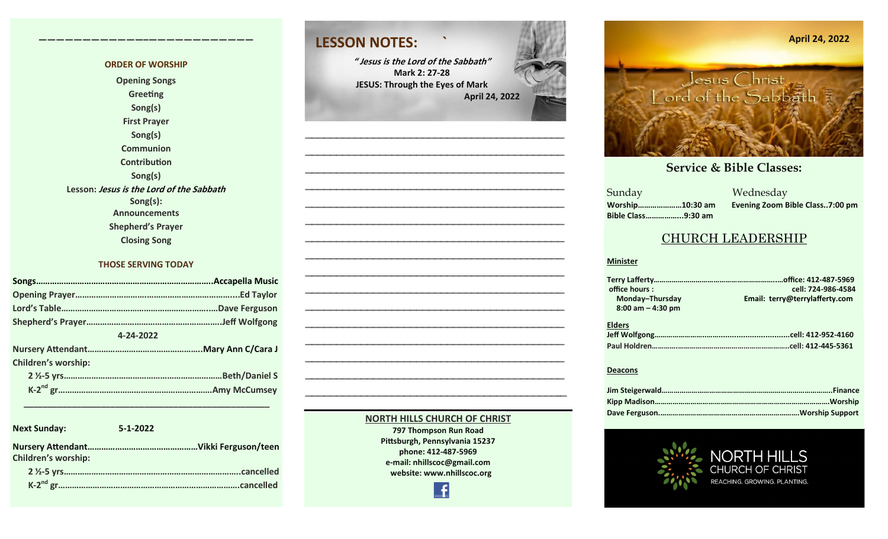#### **ORDER OF WORSHIP Opening Songs Greeting Song(s) First Prayer Song(s) Communion Contribution Song(s) Lesson: Jesus is the Lord of the Sabbath Song(s): Announcements Shepherd's Prayer Closing Song**

**————————————–————————————**

#### **THOSE SERVING TODAY**

| 4-24-2022 |                            |  |  |
|-----------|----------------------------|--|--|
|           |                            |  |  |
|           | <b>Children's worship:</b> |  |  |
|           |                            |  |  |
|           |                            |  |  |

 **\_\_\_\_\_\_\_\_\_\_\_\_\_\_\_\_\_\_\_\_\_\_\_\_\_\_\_\_\_\_\_\_\_\_\_\_\_\_\_\_\_\_\_\_\_\_\_\_\_\_\_**

**Next Sunday: 5-1-2022 Nursery Attendant…………………………………………Vikki Ferguson/teen Children's worship: 2 ½-5 yrs…………………………………………………………………..cancelled K-2 nd gr…………………………………………………………………….cancelled**

### **LESSON NOTES: `**

**" Jesus is the Lord of the Sabbath" Mark 2: 27-28 JESUS: Through the Eyes of Mark April 24, 2022**



#### **NORTH HILLS CHURCH OF CHRIST**

**797 Thompson Run Road Pittsburgh, Pennsylvania 15237 phone: 412-487-5969 e-mail: nhillscoc@gmail.com website: www.nhillscoc.org** 

Æ



#### **September 24, 2017 October 8, 2017 October 15, 2017 October 8, 2017 October 22, 2017 December 10, 2017 December 24, 2017 January 7, 2017 January 7, 2017 February 21, 2021**

**March 18, 2018 January 28, 2018 February 4, 2018 January 21, 2018 Sunday Bible Class……………...9:30 am**

**October 29, 2017 November 5, 2017 November 12, 2017 November 26, 2017 December 17, 2017 December 29, 2019 February 9, 2020 January 26, 2020 February 23, 2020 March 1, 2020 April 5, 2020** Sunday Wednesday **Worship…………………10:30 am Evening Zoom Bible Class..7:00 pm**

### CHURCH LEADERSHIP

#### **Minister**

| office hours:        | cell: 724-986-4584             |
|----------------------|--------------------------------|
| Monday-Thursday      | Email: terry@terrylafferty.com |
| $8:00$ am $-4:30$ pm |                                |
| <b>Elders</b>        |                                |
|                      |                                |

#### **Deacons**